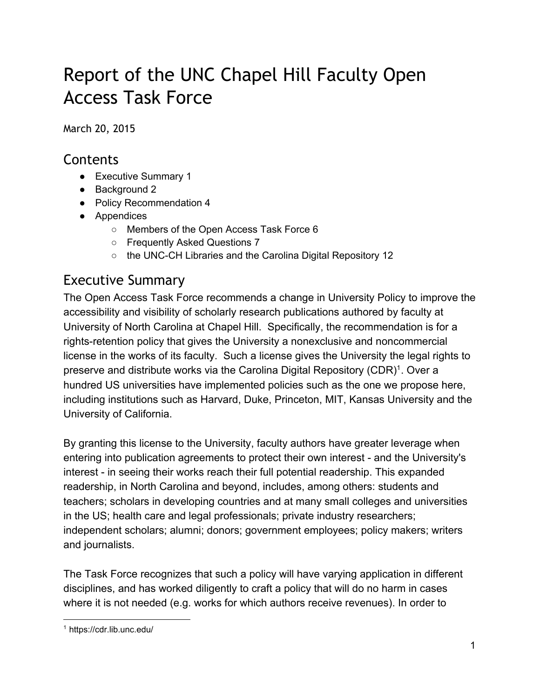# Report of the UNC Chapel Hill Faculty Open Access Task Force

March 20, 2015

# **Contents**

- Executive Summary 1
- Background 2
- Policy Recommendation 4
- Appendices
	- Members of the Open Access Task Force 6
	- Frequently Asked Questions 7
	- the UNC-CH Libraries and the Carolina Digital Repository 12

# Executive Summary

The Open Access Task Force recommends a change in University Policy to improve the accessibility and visibility of scholarly research publications authored by faculty at University of North Carolina at Chapel Hill. Specifically, the recommendation is for a rights-retention policy that gives the University a nonexclusive and noncommercial license in the works of its faculty. Such a license gives the University the legal rights to preserve and distribute works via the Carolina Digital Repository (CDR)<sup>1</sup>. Over a hundred US universities have implemented policies such as the one we propose here, including institutions such as Harvard, Duke, Princeton, MIT, Kansas University and the University of California.

By granting this license to the University, faculty authors have greater leverage when entering into publication agreements to protect their own interest - and the University's interest - in seeing their works reach their full potential readership. This expanded readership, in North Carolina and beyond, includes, among others: students and teachers; scholars in developing countries and at many small colleges and universities in the US; health care and legal professionals; private industry researchers; independent scholars; alumni; donors; government employees; policy makers; writers and journalists.

The Task Force recognizes that such a policy will have varying application in different disciplines, and has worked diligently to craft a policy that will do no harm in cases where it is not needed (e.g. works for which authors receive revenues). In order to

<sup>1</sup> https://cdr.lib.unc.edu/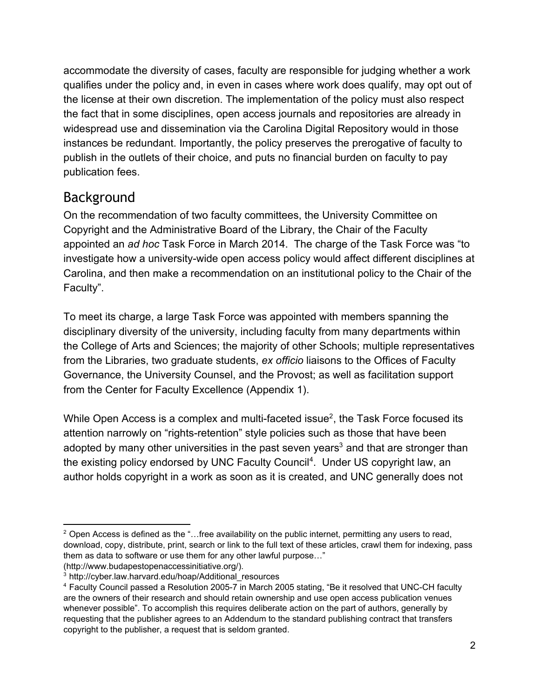accommodate the diversity of cases, faculty are responsible for judging whether a work qualifies under the policy and, in even in cases where work does qualify, may opt out of the license at their own discretion. The implementation of the policy must also respect the fact that in some disciplines, open access journals and repositories are already in widespread use and dissemination via the Carolina Digital Repository would in those instances be redundant. Importantly, the policy preserves the prerogative of faculty to publish in the outlets of their choice, and puts no financial burden on faculty to pay publication fees.

### Background

On the recommendation of two faculty committees, the University Committee on Copyright and the Administrative Board of the Library, the Chair of the Faculty appointed an *ad hoc* Task Force in March 2014. The charge of the Task Force was "to investigate how a university-wide open access policy would affect different disciplines at Carolina, and then make a recommendation on an institutional policy to the Chair of the Faculty".

To meet its charge, a large Task Force was appointed with members spanning the disciplinary diversity of the university, including faculty from many departments within the College of Arts and Sciences; the majority of other Schools; multiple representatives from the Libraries, two graduate students, *ex officio* liaisons to the Offices of Faculty Governance, the University Counsel, and the Provost; as well as facilitation support from the Center for Faculty Excellence (Appendix 1).

While Open Access is a complex and multi-faceted issue<sup>2</sup>, the Task Force focused its attention narrowly on "rights-retention" style policies such as those that have been adopted by many other universities in the past seven years<sup>3</sup> and that are stronger than the existing policy endorsed by UNC Faculty Council<sup>4</sup>. Under US copyright law, an author holds copyright in a work as soon as it is created, and UNC generally does not

 $2$  Open Access is defined as the "...free availability on the public internet, permitting any users to read, download, copy, distribute, print, search or link to the full text of these articles, crawl them for indexing, pass them as data to software or use them for any other lawful purpose…" (http://www.budapestopenaccessinitiative.org/).

<sup>&</sup>lt;sup>3</sup> http://cyber.law.harvard.edu/hoap/Additional\_resources

<sup>&</sup>lt;sup>4</sup> Faculty Council passed a Resolution 2005-7 in March 2005 stating, "Be it resolved that UNC-CH faculty are the owners of their research and should retain ownership and use open access publication venues whenever possible". To accomplish this requires deliberate action on the part of authors, generally by requesting that the publisher agrees to an Addendum to the standard publishing contract that transfers copyright to the publisher, a request that is seldom granted.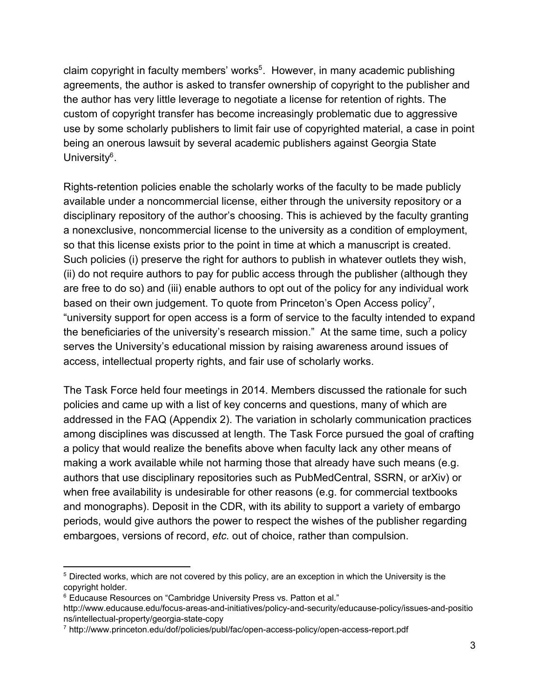claim copyright in faculty members' works<sup>5</sup>. However, in many academic publishing agreements, the author is asked to transfer ownership of copyright to the publisher and the author has very little leverage to negotiate a license for retention of rights. The custom of copyright transfer has become increasingly problematic due to aggressive use by some scholarly publishers to limit fair use of copyrighted material, a case in point being an onerous lawsuit by several academic publishers against Georgia State University<sup>6</sup>.

Rights-retention policies enable the scholarly works of the faculty to be made publicly available under a noncommercial license, either through the university repository or a disciplinary repository of the author's choosing. This is achieved by the faculty granting a nonexclusive, noncommercial license to the university as a condition of employment, so that this license exists prior to the point in time at which a manuscript is created. Such policies (i) preserve the right for authors to publish in whatever outlets they wish, (ii) do not require authors to pay for public access through the publisher (although they are free to do so) and (iii) enable authors to opt out of the policy for any individual work based on their own judgement. To quote from Princeton's Open Access policy<sup>7</sup>, "university support for open access is a form of service to the faculty intended to expand the beneficiaries of the university's research mission." At the same time, such a policy serves the University's educational mission by raising awareness around issues of access, intellectual property rights, and fair use of scholarly works.

The Task Force held four meetings in 2014. Members discussed the rationale for such policies and came up with a list of key concerns and questions, many of which are addressed in the FAQ (Appendix 2). The variation in scholarly communication practices among disciplines was discussed at length. The Task Force pursued the goal of crafting a policy that would realize the benefits above when faculty lack any other means of making a work available while not harming those that already have such means (e.g. authors that use disciplinary repositories such as PubMedCentral, SSRN, or arXiv) or when free availability is undesirable for other reasons (e.g. for commercial textbooks and monographs). Deposit in the CDR, with its ability to support a variety of embargo periods, would give authors the power to respect the wishes of the publisher regarding embargoes, versions of record, *etc.* out of choice, rather than compulsion.

<sup>5</sup> Directed works, which are not covered by this policy, are an exception in which the University is the copyright holder.

<sup>&</sup>lt;sup>6</sup> Educause Resources on "Cambridge University Press vs. Patton et al."

http://www.educause.edu/focus-areas-and-initiatives/policy-and-security/educause-policy/issues-and-positio ns/intellectual-property/georgia-state-copy

<sup>7</sup> http://www.princeton.edu/dof/policies/publ/fac/open-access-policy/open-access-report.pdf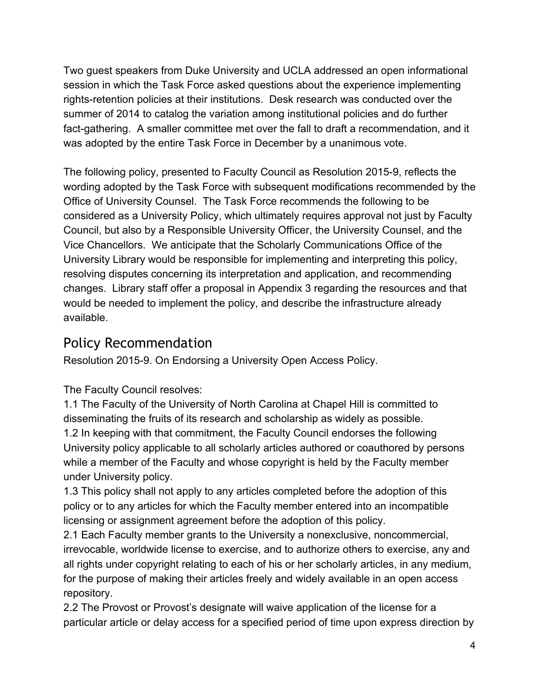Two guest speakers from Duke University and UCLA addressed an open informational session in which the Task Force asked questions about the experience implementing rights-retention policies at their institutions. Desk research was conducted over the summer of 2014 to catalog the variation among institutional policies and do further fact-gathering. A smaller committee met over the fall to draft a recommendation, and it was adopted by the entire Task Force in December by a unanimous vote.

The following policy, presented to Faculty Council as Resolution 20159, reflects the wording adopted by the Task Force with subsequent modifications recommended by the Office of University Counsel. The Task Force recommends the following to be considered as a University Policy, which ultimately requires approval not just by Faculty Council, but also by a Responsible University Officer, the University Counsel, and the Vice Chancellors. We anticipate that the Scholarly Communications Office of the University Library would be responsible for implementing and interpreting this policy, resolving disputes concerning its interpretation and application, and recommending changes. Library staff offer a proposal in Appendix 3 regarding the resources and that would be needed to implement the policy, and describe the infrastructure already available.

## Policy Recommendation

Resolution 2015-9. On Endorsing a University Open Access Policy.

The Faculty Council resolves:

1.1 The Faculty of the University of North Carolina at Chapel Hill is committed to disseminating the fruits of its research and scholarship as widely as possible. 1.2 In keeping with that commitment, the Faculty Council endorses the following University policy applicable to all scholarly articles authored or coauthored by persons while a member of the Faculty and whose copyright is held by the Faculty member under University policy.

1.3 This policy shall not apply to any articles completed before the adoption of this policy or to any articles for which the Faculty member entered into an incompatible licensing or assignment agreement before the adoption of this policy.

2.1 Each Faculty member grants to the University a nonexclusive, noncommercial, irrevocable, worldwide license to exercise, and to authorize others to exercise, any and all rights under copyright relating to each of his or her scholarly articles, in any medium, for the purpose of making their articles freely and widely available in an open access repository.

2.2 The Provost or Provost's designate will waive application of the license for a particular article or delay access for a specified period of time upon express direction by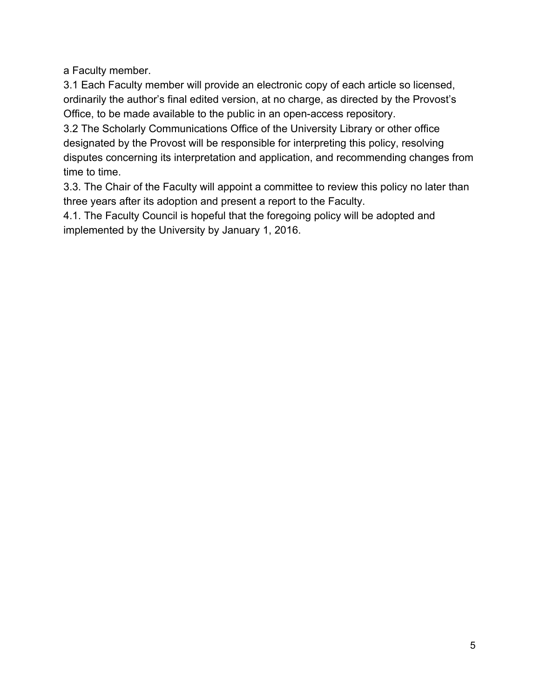a Faculty member.

3.1 Each Faculty member will provide an electronic copy of each article so licensed, ordinarily the author's final edited version, at no charge, as directed by the Provost's Office, to be made available to the public in an open-access repository.

3.2 The Scholarly Communications Office of the University Library or other office designated by the Provost will be responsible for interpreting this policy, resolving disputes concerning its interpretation and application, and recommending changes from time to time.

3.3. The Chair of the Faculty will appoint a committee to review this policy no later than three years after its adoption and present a report to the Faculty.

4.1. The Faculty Council is hopeful that the foregoing policy will be adopted and implemented by the University by January 1, 2016.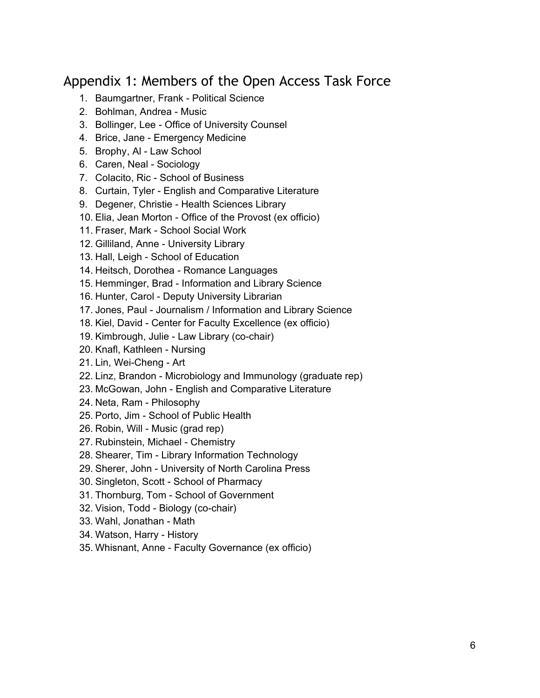### Appendix 1: Members of the Open Access Task Force

- 1. Baumgartner, Frank Political Science
- 2. Bohlman, Andrea Music
- 3. Bollinger, Lee Office of University Counsel
- 4. Brice, Jane Emergency Medicine
- 5. Brophy, AI Law School
- 6. Caren, Neal Sociology
- 7. Colacito, Ric School of Business
- 8. Curtain, Tyler English and Comparative Literature
- 9. Degener, Christie Health Sciences Library
- 10. Elia, Jean Morton Office of the Provost (ex officio)
- 11. Fraser, Mark School Social Work
- 12. Gilliland, Anne University Library
- 13. Hall, Leigh School of Education
- 14. Heitsch, Dorothea Romance Languages
- 15. Hemminger, Brad Information and Library Science
- 16. Hunter, Carol Deputy University Librarian
- 17. Jones, Paul Journalism / Information and Library Science
- 18. Kiel, David Center for Faculty Excellence (ex officio)
- 19. Kimbrough, Julie Law Library (co-chair)
- 20. Knafl, Kathleen Nursing
- 21. Lin, Wei-Cheng Art
- 22. Linz, Brandon Microbiology and Immunology (graduate rep)
- 23. McGowan, John English and Comparative Literature
- 24. Neta, Ram Philosophy
- 25. Porto, Jim School of Public Health
- 26. Robin, Will Music (grad rep)
- 27. Rubinstein, Michael Chemistry
- 28. Shearer, Tim Library Information Technology
- 29. Sherer, John University of North Carolina Press
- 30. Singleton, Scott School of Pharmacy
- 31. Thornburg, Tom School of Government
- 32. Vision, Todd Biology (co-chair)
- 33. Wahl, Jonathan Math
- 34. Watson, Harry History
- 35. Whisnant, Anne Faculty Governance (ex officio)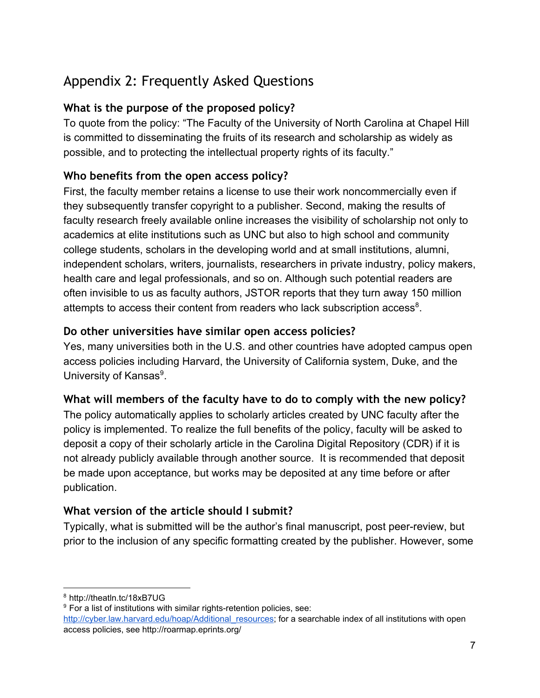# Appendix 2: Frequently Asked Questions

#### **What is the purpose of the proposed policy?**

To quote from the policy: "The Faculty of the University of North Carolina at Chapel Hill is committed to disseminating the fruits of its research and scholarship as widely as possible, and to protecting the intellectual property rights of its faculty."

#### **Who benefits from the open access policy?**

First, the faculty member retains a license to use their work noncommercially even if they subsequently transfer copyright to a publisher. Second, making the results of faculty research freely available online increases the visibility of scholarship not only to academics at elite institutions such as UNC but also to high school and community college students, scholars in the developing world and at small institutions, alumni, independent scholars, writers, journalists, researchers in private industry, policy makers, health care and legal professionals, and so on. Although such potential readers are often invisible to us as faculty authors, JSTOR reports that they turn away 150 million attempts to access their content from readers who lack subscription access<sup>8</sup>.

#### **Do other universities have similar open access policies?**

Yes, many universities both in the U.S. and other countries have adopted campus open access policies including Harvard, the University of California system, Duke, and the University of Kansas<sup>9</sup>.

#### **What will members of the faculty have to do to comply with the new policy?**

The policy automatically applies to scholarly articles created by UNC faculty after the policy is implemented. To realize the full benefits of the policy, faculty will be asked to deposit a copy of their scholarly article in the Carolina Digital Repository (CDR) if it is not already publicly available through another source. It is recommended that deposit be made upon acceptance, but works may be deposited at any time before or after publication.

#### **What version of the article should I submit?**

Typically, what is submitted will be the author's final manuscript, post peerreview, but prior to the inclusion of any specific formatting created by the publisher. However, some

<sup>8</sup> http://theatln.tc/18xB7UG

 $9$  For a list of institutions with similar rights-retention policies, see:

[http://cyber.law.harvard.edu/hoap/Additional\\_resources](http://cyber.law.harvard.edu/hoap/Additional_resources); for a searchable index of all institutions with open access policies, see http://roarmap.eprints.org/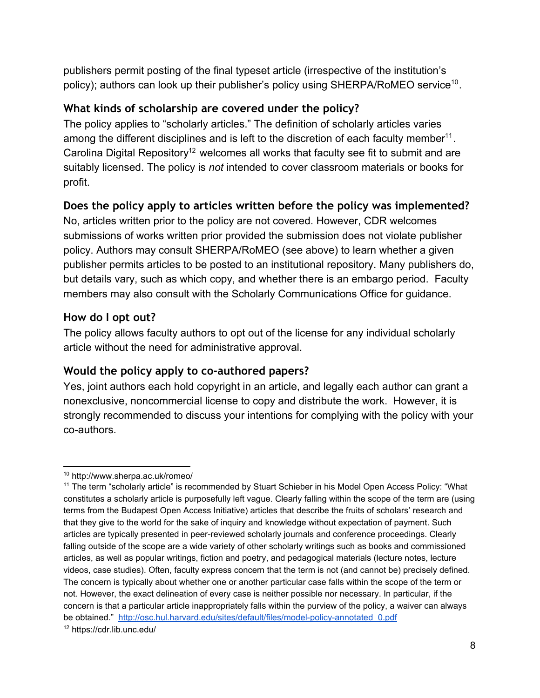publishers permit posting of the final typeset article (irrespective of the institution's policy); authors can look up their publisher's policy using SHERPA/RoMEO service<sup>10</sup>.

#### **What kinds of scholarship are covered under the policy?**

The policy applies to "scholarly articles." The definition of scholarly articles varies among the different disciplines and is left to the discretion of each faculty member<sup>11</sup>. Carolina Digital Repository<sup>12</sup> welcomes all works that faculty see fit to submit and are suitably licensed. The policy is *not* intended to cover classroom materials or books for profit[.](http://osc.hul.harvard.edu/sites/default/files/model-policy-annotated_0.pdf)

#### **Does the policy apply to articles written before the policy was implemented?**

No, articles written prior to the policy are not covered. However, CDR welcomes submissions of works written prior provided the submission does not violate publisher policy. Authors may consult SHERPA/RoMEO (see above) to learn whether a given publisher permits articles to be posted to an institutional repository. Many publishers do, but details vary, such as which copy, and whether there is an embargo period. Faculty members may also consult with the Scholarly Communications Office for guidance.

#### **How do I opt out?**

The policy allows faculty authors to opt out of the license for any individual scholarly article without the need for administrative approval.

#### **Would the policy apply to co-authored papers?**

Yes, joint authors each hold copyright in an article, and legally each author can grant a nonexclusive, noncommercial license to copy and distribute the work. However, it is strongly recommended to discuss your intentions for complying with the policy with your co-authors.

<sup>10</sup> http://www.sherpa.ac.uk/romeo/

<sup>&</sup>lt;sup>11</sup> The term "scholarly article" is recommended by Stuart Schieber in his Model Open Access Policy: "What constitutes a scholarly article is purposefully left vague. Clearly falling within the scope of the term are (using terms from the Budapest Open Access Initiative) articles that describe the fruits of scholars' research and that they give to the world for the sake of inquiry and knowledge without expectation of payment. Such articles are typically presented in peerreviewed scholarly journals and conference proceedings. Clearly falling outside of the scope are a wide variety of other scholarly writings such as books and commissioned articles, as well as popular writings, fiction and poetry, and pedagogical materials (lecture notes, lecture videos, case studies). Often, faculty express concern that the term is not (and cannot be) precisely defined. The concern is typically about whether one or another particular case falls within the scope of the term or not. However, the exact delineation of every case is neither possible nor necessary. In particular, if the concern is that a particular article inappropriately falls within the purview of the policy, a waiver can always be obtained." http://osc.hul.harvard.edu/sites/default/files/model-policy-annotated 0.pdf

<sup>12</sup> https://cdr.lib.unc.edu/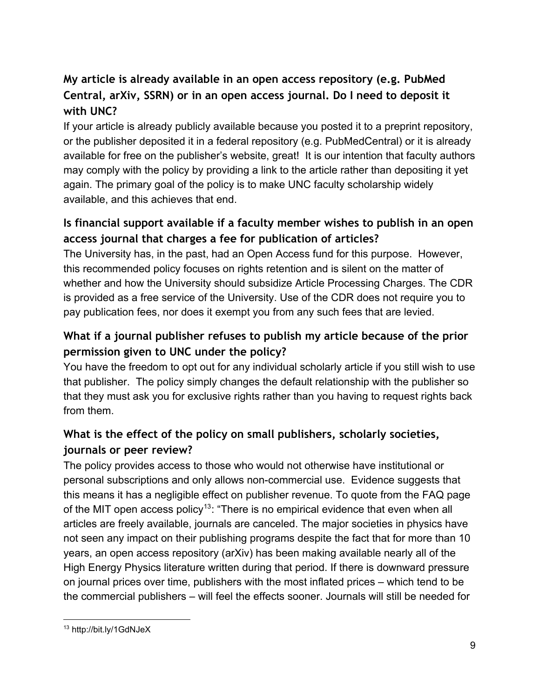### **My article is already available in an open access repository (e.g. PubMed Central, arXiv, SSRN) or in an open access journal. Do I need to deposit it with UNC?**

If your article is already publicly available because you posted it to a preprint repository, or the publisher deposited it in a federal repository (e.g. PubMedCentral) or it is already available for free on the publisher's website, great! It is our intention that faculty authors may comply with the policy by providing a link to the article rather than depositing it yet again. The primary goal of the policy is to make UNC faculty scholarship widely available, and this achieves that end.

#### **Is financial support available if a faculty member wishes to publish in an open access journal that charges a fee for publication of articles?**

The University has, in the past, had an Open Access fund for this purpose. However, this recommended policy focuses on rights retention and is silent on the matter of whether and how the University should subsidize Article Processing Charges. The CDR is provided as a free service of the University. Use of the CDR does not require you to pay publication fees, nor does it exempt you from any such fees that are levied.

### **What if a journal publisher refuses to publish my article because of the prior permission given to UNC under the policy?**

You have the freedom to opt out for any individual scholarly article if you still wish to use that publisher. The policy simply changes the default relationship with the publisher so that they must ask you for exclusive rights rather than you having to request rights back from them.

#### **What is the effect of the policy on small publishers, scholarly societies, journals or peer review?**

The policy provides access to those who would not otherwise have institutional or personal subscriptions and only allows non-commercial use. Evidence suggests that this means it has a negligible effect on publisher revenue. To quote from the FAQ page of the MIT open access policy<sup>13</sup>: "There is no empirical evidence that even when all articles are freely available, journals are canceled. The major societies in physics have not seen any impact on their publishing programs despite the fact that for more than 10 years, an open access repository (arXiv) has been making available nearly all of the High Energy Physics literature written during that period. If there is downward pressure on journal prices over time, publishers with the most inflated prices – which tend to be the commercial publishers – will feel the effects sooner. Journals will still be needed for

<sup>13</sup> http://bit.ly/1GdNJeX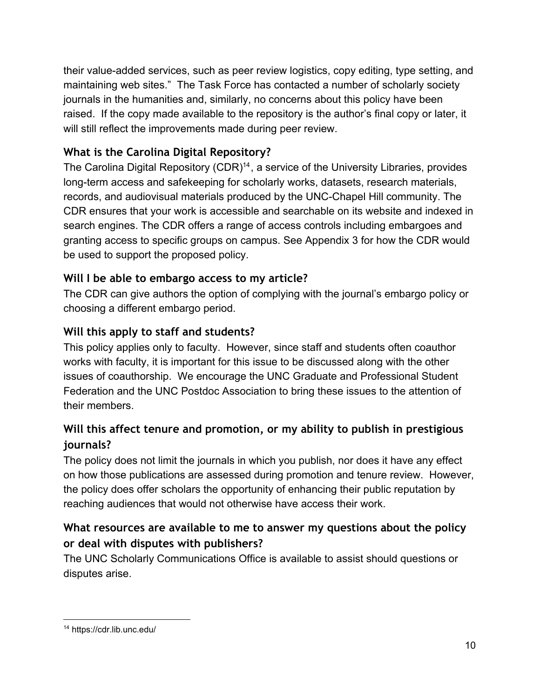their value-added services, such as peer review logistics, copy editing, type setting, and maintaining web sites." The Task Force has contacted a number of scholarly society journals in the humanities and, similarly, no concerns about this policy have been raised. If the copy made available to the repository is the author's final copy or later, it will still reflect the improvements made during peer review.

#### **What is the Carolina Digital Repository?**

The Carolina Digital Repository  $(CDR)^{14}$ , a service of the University Libraries, provides long-term access and safekeeping for scholarly works, datasets, research materials, records, and audiovisual materials produced by the UNC-Chapel Hill community. The CDR ensures that your work is accessible and searchable on its website and indexed in search engines. The CDR offers a range of access controls including embargoes and granting access to specific groups on campus. See Appendix 3 for how the CDR would be used to support the proposed policy.

#### **Will I be able to embargo access to my article?**

The CDR can give authors the option of complying with the journal's embargo policy or choosing a different embargo period.

#### **Will this apply to staff and students?**

This policy applies only to faculty. However, since staff and students often coauthor works with faculty, it is important for this issue to be discussed along with the other issues of coauthorship. We encourage the UNC Graduate and Professional Student Federation and the UNC Postdoc Association to bring these issues to the attention of their members.

#### **Will this affect tenure and promotion, or my ability to publish in prestigious journals?**

The policy does not limit the journals in which you publish, nor does it have any effect on how those publications are assessed during promotion and tenure review. However, the policy does offer scholars the opportunity of enhancing their public reputation by reaching audiences that would not otherwise have access their work.

#### **What resources are available to me to answer my questions about the policy or deal with disputes with publishers?**

The UNC Scholarly Communications Office is available to assist should questions or disputes arise.

<sup>14</sup> https://cdr.lib.unc.edu/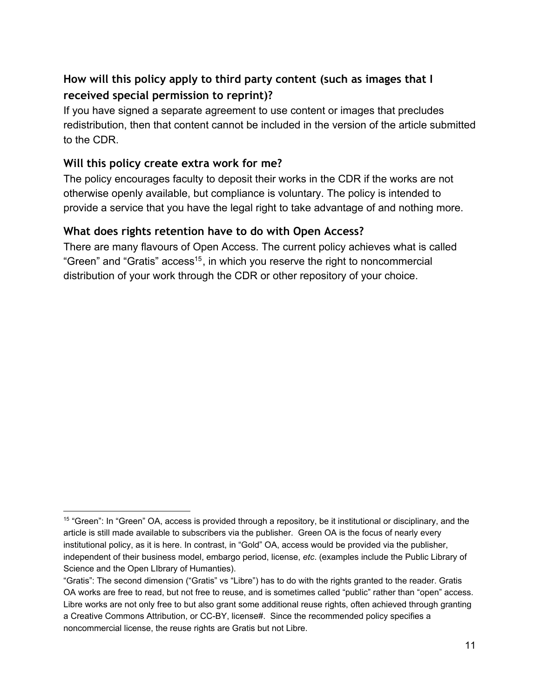#### **How will this policy apply to third party content (such as images that I received special permission to reprint)?**

If you have signed a separate agreement to use content or images that precludes redistribution, then that content cannot be included in the version of the article submitted to the CDR.

#### **Will this policy create extra work for me?**

The policy encourages faculty to deposit their works in the CDR if the works are not otherwise openly available, but compliance is voluntary. The policy is intended to provide a service that you have the legal right to take advantage of and nothing more.

#### **What does rights retention have to do with Open Access?**

There are many flavours of Open Access. The current policy achieves what is called "Green" and "Gratis" access<sup>15</sup>, in which you reserve the right to noncommercial distribution of your work through the CDR or other repository of your choice.

<sup>&</sup>lt;sup>15</sup> "Green": In "Green" OA, access is provided through a repository, be it institutional or disciplinary, and the article is still made available to subscribers via the publisher. Green OA is the focus of nearly every institutional policy, as it is here. In contrast, in "Gold" OA, access would be provided via the publisher, independent of their business model, embargo period, license, *etc*. (examples include the Public Library of Science and the Open LIbrary of Humanties).

<sup>&</sup>quot;Gratis": The second dimension ("Gratis" vs "Libre") has to do with the rights granted to the reader. Gratis OA works are free to read, but not free to reuse, and is sometimes called "public" rather than "open" access. Libre works are not only free to but also grant some additional reuse rights, often achieved through granting a Creative Commons Attribution, or CC-BY, license#. Since the recommended policy specifies a noncommercial license, the reuse rights are Gratis but not Libre.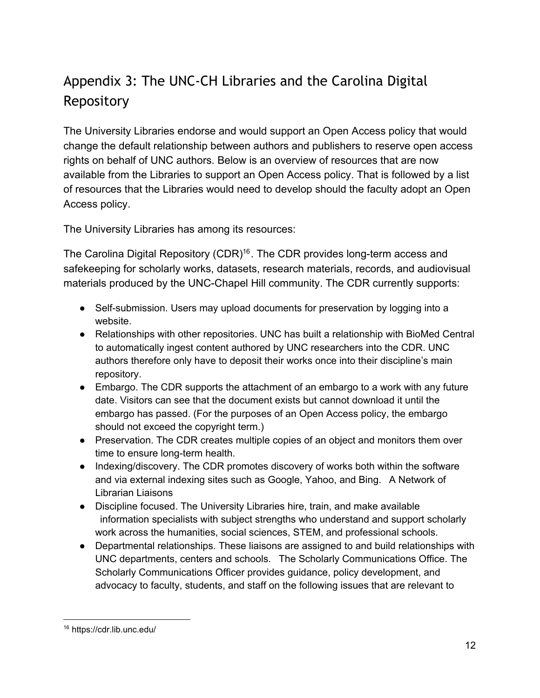# Appendix 3: The UNC-CH Libraries and the Carolina Digital Repository

The University Libraries endorse and would support an Open Access policy that would change the default relationship between authors and publishers to reserve open access rights on behalf of UNC authors. Below is an overview of resources that are now available from the Libraries to support an Open Access policy. That is followed by a list of resources that the Libraries would need to develop should the faculty adopt an Open Access policy.

The University Libraries has among its resources:

The Carolina Digital Repository  $(CDR)^{16}$ . The CDR provides long-term access and safekeeping for scholarly works, datasets, research materials, records, and audiovisual materials produced by the UNC-Chapel Hill community. The CDR currently supports:

- Self-submission. Users may upload documents for preservation by logging into a website.
- Relationships with other repositories. UNC has built a relationship with BioMed Central to automatically ingest content authored by UNC researchers into the CDR. UNC authors therefore only have to deposit their works once into their discipline's main repository.
- Embargo. The CDR supports the attachment of an embargo to a work with any future date. Visitors can see that the document exists but cannot download it until the embargo has passed. (For the purposes of an Open Access policy, the embargo should not exceed the copyright term.)
- Preservation. The CDR creates multiple copies of an object and monitors them over time to ensure long-term health.
- Indexing/discovery. The CDR promotes discovery of works both within the software and via external indexing sites such as Google, Yahoo, and Bing. A Network of Librarian Liaisons
- Discipline focused. The University Libraries hire, train, and make available information specialists with subject strengths who understand and support scholarly work across the humanities, social sciences, STEM, and professional schools.
- Departmental relationships. These liaisons are assigned to and build relationships with UNC departments, centers and schools. The Scholarly Communications Office. The Scholarly Communications Officer provides guidance, policy development, and advocacy to faculty, students, and staff on the following issues that are relevant to

<sup>16</sup> https://cdr.lib.unc.edu/